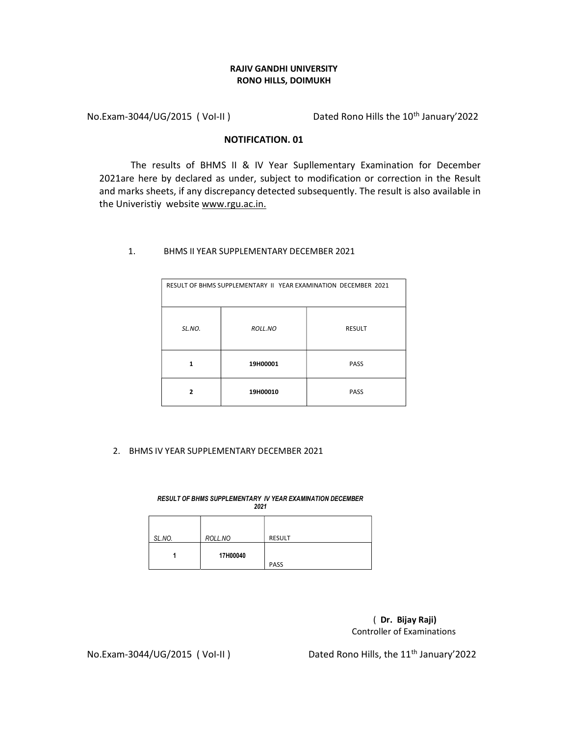## RAJIV GANDHI UNIVERSITY RONO HILLS, DOIMUKH

No.Exam-3044/UG/2015 (Vol-II) Dated Rono Hills the 10<sup>th</sup> January'2022

## NOTIFICATION. 01

The results of BHMS II & IV Year Supllementary Examination for December 2021are here by declared as under, subject to modification or correction in the Result and marks sheets, if any discrepancy detected subsequently. The result is also available in the Univeristiy website www.rgu.ac.in.

## 1. BHMS II YEAR SUPPLEMENTARY DECEMBER 2021

| RESULT OF BHMS SUPPLEMENTARY II YEAR EXAMINATION DECEMBER 2021 |          |               |
|----------------------------------------------------------------|----------|---------------|
| SL.NO.                                                         | ROLL.NO  | <b>RESULT</b> |
| 1                                                              | 19H00001 | <b>PASS</b>   |
| $\overline{2}$                                                 | 19H00010 | <b>PASS</b>   |

## 2. BHMS IV YEAR SUPPLEMENTARY DECEMBER 2021

RESULT OF BHMS SUPPLEMENTARY IV YEAR EXAMINATION DECEMBER 2021 SL.NO. ROLL.NO RESULT 1 17H00040 PASS

> ( Dr. Bijay Raji) Controller of Examinations

No.Exam-3044/UG/2015 ( Vol-II ) Dated Rono Hills, the 11<sup>th</sup> January'2022